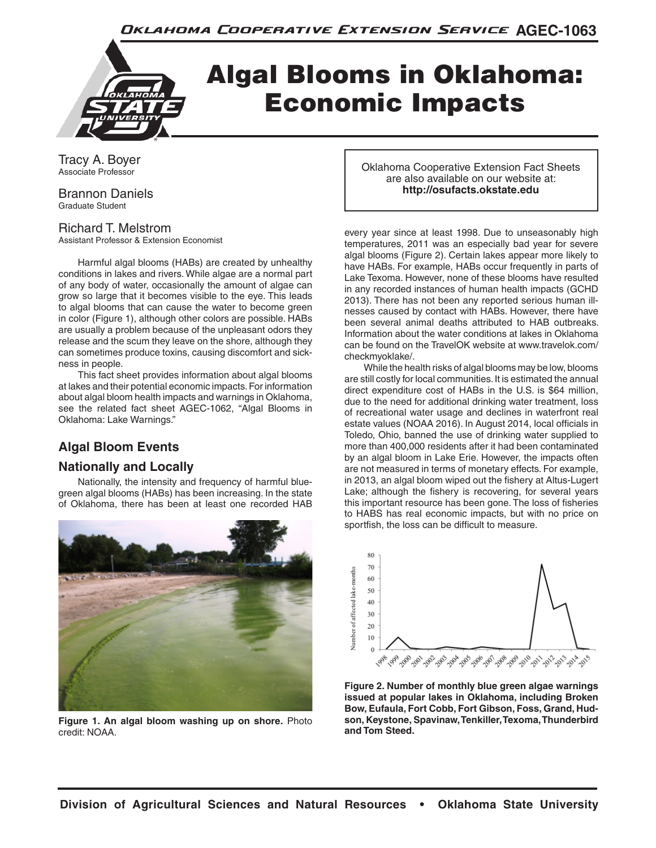

# Algal Blooms in Oklahoma: Economic Impacts

Tracy A. Boyer Associate Professor

Brannon Daniels Graduate Student

#### Richard T. Melstrom

Assistant Professor & Extension Economist

Harmful algal blooms (HABs) are created by unhealthy conditions in lakes and rivers. While algae are a normal part of any body of water, occasionally the amount of algae can grow so large that it becomes visible to the eye. This leads to algal blooms that can cause the water to become green in color (Figure 1), although other colors are possible. HABs are usually a problem because of the unpleasant odors they release and the scum they leave on the shore, although they can sometimes produce toxins, causing discomfort and sickness in people.

This fact sheet provides information about algal blooms at lakes and their potential economic impacts. For information about algal bloom health impacts and warnings in Oklahoma, see the related fact sheet AGEC-1062, "Algal Blooms in Oklahoma: Lake Warnings."

## **Algal Bloom Events**

### **Nationally and Locally**

Nationally, the intensity and frequency of harmful bluegreen algal blooms (HABs) has been increasing. In the state of Oklahoma, there has been at least one recorded HAB



**Figure 1. An algal bloom washing up on shore.** Photo credit: NOAA.

Oklahoma Cooperative Extension Fact Sheets are also available on our website at: **http://osufacts.okstate.edu**

every year since at least 1998. Due to unseasonably high temperatures, 2011 was an especially bad year for severe algal blooms (Figure 2). Certain lakes appear more likely to have HABs. For example, HABs occur frequently in parts of Lake Texoma. However, none of these blooms have resulted in any recorded instances of human health impacts (GCHD 2013). There has not been any reported serious human illnesses caused by contact with HABs. However, there have been several animal deaths attributed to HAB outbreaks. Information about the water conditions at lakes in Oklahoma can be found on the TravelOK website at www.travelok.com/ checkmyoklake/.

While the health risks of algal blooms may be low, blooms are still costly for local communities. It is estimated the annual direct expenditure cost of HABs in the U.S. is \$64 million, due to the need for additional drinking water treatment, loss of recreational water usage and declines in waterfront real estate values (NOAA 2016). In August 2014, local officials in Toledo, Ohio, banned the use of drinking water supplied to more than 400,000 residents after it had been contaminated by an algal bloom in Lake Erie. However, the impacts often are not measured in terms of monetary effects. For example, in 2013, an algal bloom wiped out the fishery at Altus-Lugert Lake; although the fishery is recovering, for several years this important resource has been gone. The loss of fisheries to HABS has real economic impacts, but with no price on sportfish, the loss can be difficult to measure.



**Figure 2. Number of monthly blue green algae warnings issued at popular lakes in Oklahoma, including Broken Bow, Eufaula, Fort Cobb, Fort Gibson, Foss, Grand, Hudson, Keystone, Spavinaw, Tenkiller, Texoma, Thunderbird and Tom Steed.**